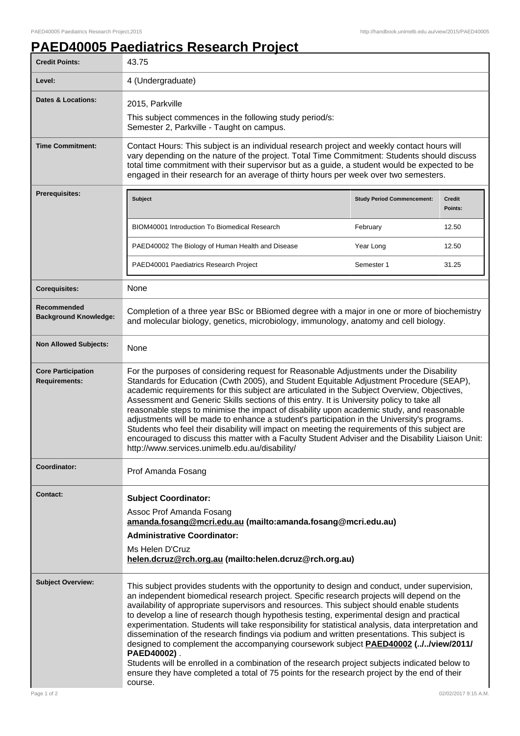## **PAED40005 Paediatrics Research Project**

| <b>Credit Points:</b>                             | 43.75                                                                                                                                                                                                                                                                                                                                                                                                                                                                                                                                                                                                                                                                                                                                                                                                                                                                                                                   |                                   |                   |
|---------------------------------------------------|-------------------------------------------------------------------------------------------------------------------------------------------------------------------------------------------------------------------------------------------------------------------------------------------------------------------------------------------------------------------------------------------------------------------------------------------------------------------------------------------------------------------------------------------------------------------------------------------------------------------------------------------------------------------------------------------------------------------------------------------------------------------------------------------------------------------------------------------------------------------------------------------------------------------------|-----------------------------------|-------------------|
| Level:                                            | 4 (Undergraduate)                                                                                                                                                                                                                                                                                                                                                                                                                                                                                                                                                                                                                                                                                                                                                                                                                                                                                                       |                                   |                   |
| <b>Dates &amp; Locations:</b>                     | 2015, Parkville<br>This subject commences in the following study period/s:<br>Semester 2, Parkville - Taught on campus.                                                                                                                                                                                                                                                                                                                                                                                                                                                                                                                                                                                                                                                                                                                                                                                                 |                                   |                   |
| <b>Time Commitment:</b>                           | Contact Hours: This subject is an individual research project and weekly contact hours will<br>vary depending on the nature of the project. Total Time Commitment: Students should discuss<br>total time commitment with their supervisor but as a guide, a student would be expected to be<br>engaged in their research for an average of thirty hours per week over two semesters.                                                                                                                                                                                                                                                                                                                                                                                                                                                                                                                                    |                                   |                   |
| <b>Prerequisites:</b>                             | <b>Subject</b>                                                                                                                                                                                                                                                                                                                                                                                                                                                                                                                                                                                                                                                                                                                                                                                                                                                                                                          | <b>Study Period Commencement:</b> | Credit<br>Points: |
|                                                   | <b>BIOM40001 Introduction To Biomedical Research</b>                                                                                                                                                                                                                                                                                                                                                                                                                                                                                                                                                                                                                                                                                                                                                                                                                                                                    | February                          | 12.50             |
|                                                   | PAED40002 The Biology of Human Health and Disease                                                                                                                                                                                                                                                                                                                                                                                                                                                                                                                                                                                                                                                                                                                                                                                                                                                                       | Year Long                         | 12.50             |
|                                                   | PAED40001 Paediatrics Research Project                                                                                                                                                                                                                                                                                                                                                                                                                                                                                                                                                                                                                                                                                                                                                                                                                                                                                  | Semester 1                        | 31.25             |
| <b>Corequisites:</b>                              | None                                                                                                                                                                                                                                                                                                                                                                                                                                                                                                                                                                                                                                                                                                                                                                                                                                                                                                                    |                                   |                   |
| Recommended<br><b>Background Knowledge:</b>       | Completion of a three year BSc or BBiomed degree with a major in one or more of biochemistry<br>and molecular biology, genetics, microbiology, immunology, anatomy and cell biology.                                                                                                                                                                                                                                                                                                                                                                                                                                                                                                                                                                                                                                                                                                                                    |                                   |                   |
| <b>Non Allowed Subjects:</b>                      | None                                                                                                                                                                                                                                                                                                                                                                                                                                                                                                                                                                                                                                                                                                                                                                                                                                                                                                                    |                                   |                   |
| <b>Core Participation</b><br><b>Requirements:</b> | For the purposes of considering request for Reasonable Adjustments under the Disability<br>Standards for Education (Cwth 2005), and Student Equitable Adjustment Procedure (SEAP),<br>academic requirements for this subject are articulated in the Subject Overview, Objectives,<br>Assessment and Generic Skills sections of this entry. It is University policy to take all<br>reasonable steps to minimise the impact of disability upon academic study, and reasonable<br>adjustments will be made to enhance a student's participation in the University's programs.<br>Students who feel their disability will impact on meeting the requirements of this subject are<br>encouraged to discuss this matter with a Faculty Student Adviser and the Disability Liaison Unit:<br>http://www.services.unimelb.edu.au/disability/                                                                                     |                                   |                   |
| Coordinator:                                      | Prof Amanda Fosang                                                                                                                                                                                                                                                                                                                                                                                                                                                                                                                                                                                                                                                                                                                                                                                                                                                                                                      |                                   |                   |
| <b>Contact:</b>                                   | <b>Subject Coordinator:</b><br>Assoc Prof Amanda Fosang<br>amanda.fosang@mcri.edu.au (mailto:amanda.fosang@mcri.edu.au)<br><b>Administrative Coordinator:</b><br>Ms Helen D'Cruz<br>helen.dcruz@rch.org.au (mailto:helen.dcruz@rch.org.au)                                                                                                                                                                                                                                                                                                                                                                                                                                                                                                                                                                                                                                                                              |                                   |                   |
| <b>Subject Overview:</b>                          | This subject provides students with the opportunity to design and conduct, under supervision,<br>an independent biomedical research project. Specific research projects will depend on the<br>availability of appropriate supervisors and resources. This subject should enable students<br>to develop a line of research though hypothesis testing, experimental design and practical<br>experimentation. Students will take responsibility for statistical analysis, data interpretation and<br>dissemination of the research findings via podium and written presentations. This subject is<br>designed to complement the accompanying coursework subject <b>PAED40002 (//view/2011/</b><br>PAED40002).<br>Students will be enrolled in a combination of the research project subjects indicated below to<br>ensure they have completed a total of 75 points for the research project by the end of their<br>course. |                                   |                   |